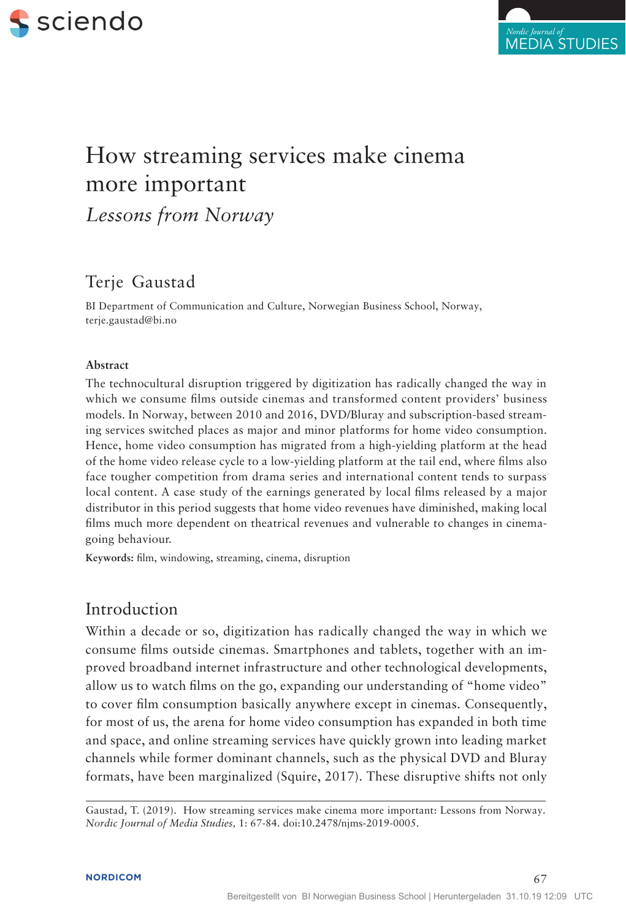



# How streaming services make cinema more important *Lessons from Norway*

# Terje Gaustad

BI Department of Communication and Culture, Norwegian Business School, Norway, terje.gaustad@bi.no

#### **Abstract**

The technocultural disruption triggered by digitization has radically changed the way in which we consume films outside cinemas and transformed content providers' business models. In Norway, between 2010 and 2016, DVD/Bluray and subscription-based streaming services switched places as major and minor platforms for home video consumption. Hence, home video consumption has migrated from a high-yielding platform at the head of the home video release cycle to a low-yielding platform at the tail end, where films also face tougher competition from drama series and international content tends to surpass local content. A case study of the earnings generated by local films released by a major distributor in this period suggests that home video revenues have diminished, making local films much more dependent on theatrical revenues and vulnerable to changes in cinemagoing behaviour.

**Keywords:** film, windowing, streaming, cinema, disruption

### Introduction

Within a decade or so, digitization has radically changed the way in which we consume films outside cinemas. Smartphones and tablets, together with an improved broadband internet infrastructure and other technological developments, allow us to watch films on the go, expanding our understanding of "home video" to cover film consumption basically anywhere except in cinemas. Consequently, for most of us, the arena for home video consumption has expanded in both time and space, and online streaming services have quickly grown into leading market channels while former dominant channels, such as the physical DVD and Bluray formats, have been marginalized (Squire, 2017). These disruptive shifts not only

Gaustad, T. (2019). How streaming services make cinema more important: Lessons from Norway. *Nordic Journal of Media Studies,* 1: 67-84. doi:10.2478/njms-2019-0005.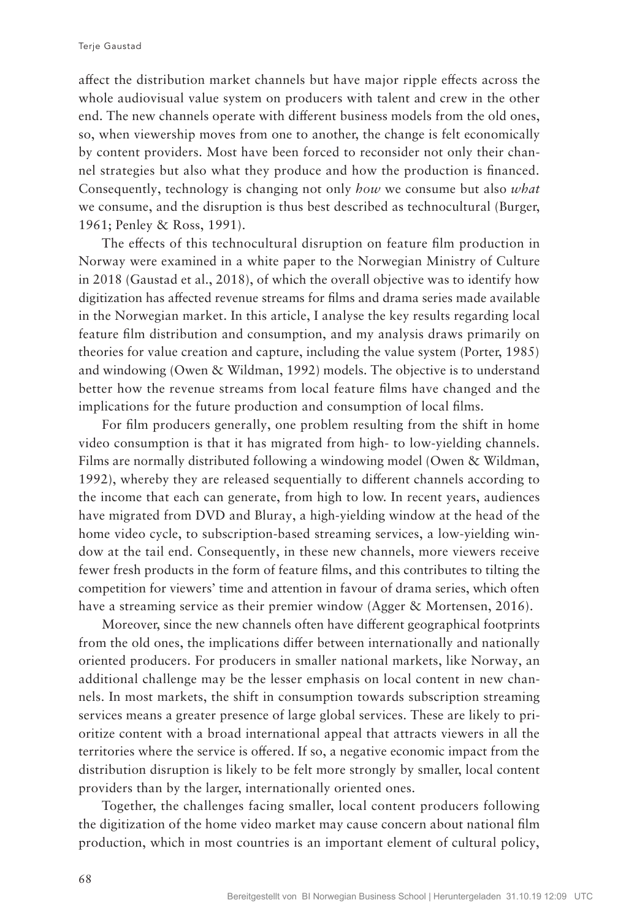affect the distribution market channels but have major ripple effects across the whole audiovisual value system on producers with talent and crew in the other end. The new channels operate with different business models from the old ones, so, when viewership moves from one to another, the change is felt economically by content providers. Most have been forced to reconsider not only their channel strategies but also what they produce and how the production is financed. Consequently, technology is changing not only *how* we consume but also *what* we consume, and the disruption is thus best described as technocultural (Burger, 1961; Penley & Ross, 1991).

The effects of this technocultural disruption on feature film production in Norway were examined in a white paper to the Norwegian Ministry of Culture in 2018 (Gaustad et al., 2018), of which the overall objective was to identify how digitization has affected revenue streams for films and drama series made available in the Norwegian market. In this article, I analyse the key results regarding local feature film distribution and consumption, and my analysis draws primarily on theories for value creation and capture, including the value system (Porter, 1985) and windowing (Owen & Wildman, 1992) models. The objective is to understand better how the revenue streams from local feature films have changed and the implications for the future production and consumption of local films.

For film producers generally, one problem resulting from the shift in home video consumption is that it has migrated from high- to low-yielding channels. Films are normally distributed following a windowing model (Owen & Wildman, 1992), whereby they are released sequentially to different channels according to the income that each can generate, from high to low. In recent years, audiences have migrated from DVD and Bluray, a high-yielding window at the head of the home video cycle, to subscription-based streaming services, a low-yielding window at the tail end. Consequently, in these new channels, more viewers receive fewer fresh products in the form of feature films, and this contributes to tilting the competition for viewers' time and attention in favour of drama series, which often have a streaming service as their premier window (Agger & Mortensen, 2016).

Moreover, since the new channels often have different geographical footprints from the old ones, the implications differ between internationally and nationally oriented producers. For producers in smaller national markets, like Norway, an additional challenge may be the lesser emphasis on local content in new channels. In most markets, the shift in consumption towards subscription streaming services means a greater presence of large global services. These are likely to prioritize content with a broad international appeal that attracts viewers in all the territories where the service is offered. If so, a negative economic impact from the distribution disruption is likely to be felt more strongly by smaller, local content providers than by the larger, internationally oriented ones.

Together, the challenges facing smaller, local content producers following the digitization of the home video market may cause concern about national film production, which in most countries is an important element of cultural policy,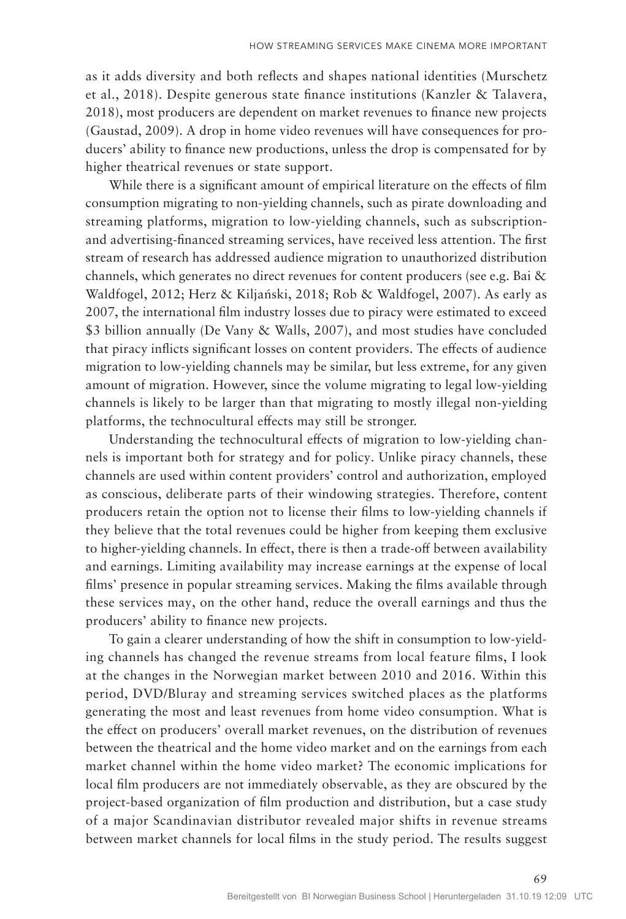as it adds diversity and both reflects and shapes national identities (Murschetz et al., 2018). Despite generous state finance institutions (Kanzler & Talavera, 2018), most producers are dependent on market revenues to finance new projects (Gaustad, 2009). A drop in home video revenues will have consequences for producers' ability to finance new productions, unless the drop is compensated for by higher theatrical revenues or state support.

While there is a significant amount of empirical literature on the effects of film consumption migrating to non-yielding channels, such as pirate downloading and streaming platforms, migration to low-yielding channels, such as subscriptionand advertising-financed streaming services, have received less attention. The first stream of research has addressed audience migration to unauthorized distribution channels, which generates no direct revenues for content producers (see e.g. Bai & Waldfogel, 2012; Herz & Kiljański, 2018; Rob & Waldfogel, 2007). As early as 2007, the international film industry losses due to piracy were estimated to exceed \$3 billion annually (De Vany & Walls, 2007), and most studies have concluded that piracy inflicts significant losses on content providers. The effects of audience migration to low-yielding channels may be similar, but less extreme, for any given amount of migration. However, since the volume migrating to legal low-yielding channels is likely to be larger than that migrating to mostly illegal non-yielding platforms, the technocultural effects may still be stronger.

Understanding the technocultural effects of migration to low-yielding channels is important both for strategy and for policy. Unlike piracy channels, these channels are used within content providers' control and authorization, employed as conscious, deliberate parts of their windowing strategies. Therefore, content producers retain the option not to license their films to low-yielding channels if they believe that the total revenues could be higher from keeping them exclusive to higher-yielding channels. In effect, there is then a trade-off between availability and earnings. Limiting availability may increase earnings at the expense of local films' presence in popular streaming services. Making the films available through these services may, on the other hand, reduce the overall earnings and thus the producers' ability to finance new projects.

To gain a clearer understanding of how the shift in consumption to low-yielding channels has changed the revenue streams from local feature films, I look at the changes in the Norwegian market between 2010 and 2016. Within this period, DVD/Bluray and streaming services switched places as the platforms generating the most and least revenues from home video consumption. What is the effect on producers' overall market revenues, on the distribution of revenues between the theatrical and the home video market and on the earnings from each market channel within the home video market? The economic implications for local film producers are not immediately observable, as they are obscured by the project-based organization of film production and distribution, but a case study of a major Scandinavian distributor revealed major shifts in revenue streams between market channels for local films in the study period. The results suggest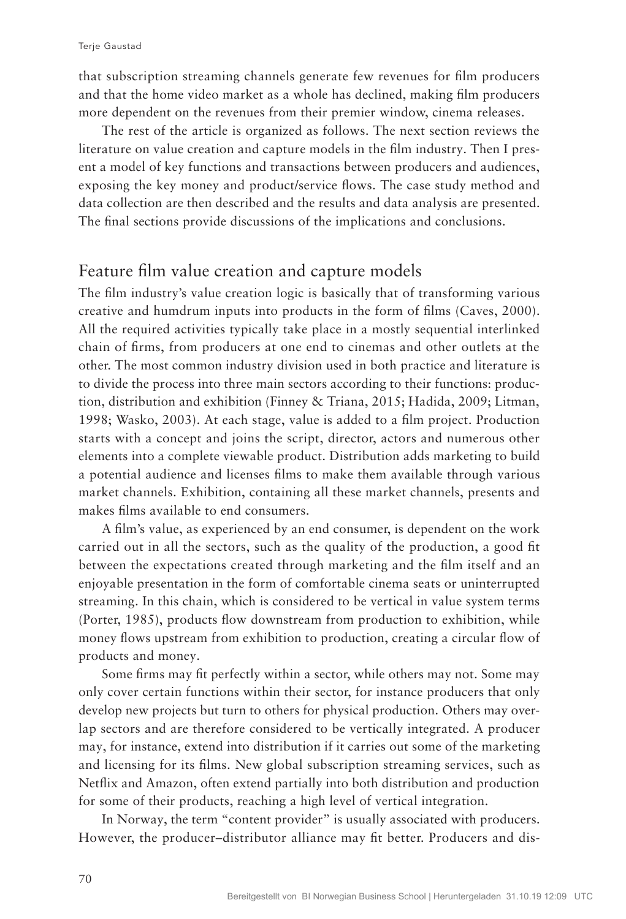that subscription streaming channels generate few revenues for film producers and that the home video market as a whole has declined, making film producers more dependent on the revenues from their premier window, cinema releases.

The rest of the article is organized as follows. The next section reviews the literature on value creation and capture models in the film industry. Then I present a model of key functions and transactions between producers and audiences, exposing the key money and product/service flows. The case study method and data collection are then described and the results and data analysis are presented. The final sections provide discussions of the implications and conclusions.

# Feature film value creation and capture models

The film industry's value creation logic is basically that of transforming various creative and humdrum inputs into products in the form of films (Caves, 2000). All the required activities typically take place in a mostly sequential interlinked chain of firms, from producers at one end to cinemas and other outlets at the other. The most common industry division used in both practice and literature is to divide the process into three main sectors according to their functions: production, distribution and exhibition (Finney & Triana, 2015; Hadida, 2009; Litman, 1998; Wasko, 2003). At each stage, value is added to a film project. Production starts with a concept and joins the script, director, actors and numerous other elements into a complete viewable product. Distribution adds marketing to build a potential audience and licenses films to make them available through various market channels. Exhibition, containing all these market channels, presents and makes films available to end consumers.

A film's value, as experienced by an end consumer, is dependent on the work carried out in all the sectors, such as the quality of the production, a good fit between the expectations created through marketing and the film itself and an enjoyable presentation in the form of comfortable cinema seats or uninterrupted streaming. In this chain, which is considered to be vertical in value system terms (Porter, 1985), products flow downstream from production to exhibition, while money flows upstream from exhibition to production, creating a circular flow of products and money.

Some firms may fit perfectly within a sector, while others may not. Some may only cover certain functions within their sector, for instance producers that only develop new projects but turn to others for physical production. Others may overlap sectors and are therefore considered to be vertically integrated. A producer may, for instance, extend into distribution if it carries out some of the marketing and licensing for its films. New global subscription streaming services, such as Netflix and Amazon, often extend partially into both distribution and production for some of their products, reaching a high level of vertical integration.

In Norway, the term "content provider" is usually associated with producers. However, the producer–distributor alliance may fit better. Producers and dis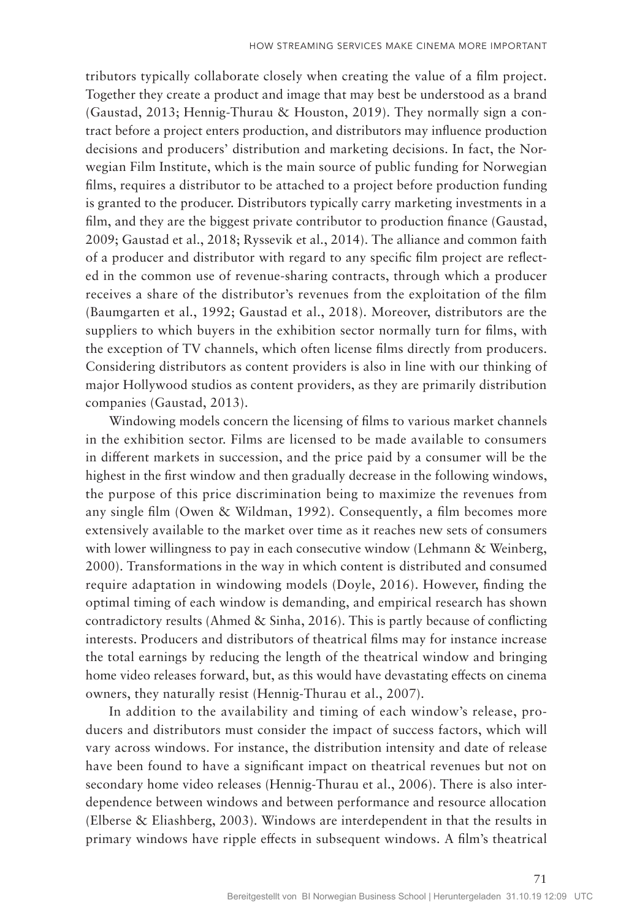tributors typically collaborate closely when creating the value of a film project. Together they create a product and image that may best be understood as a brand (Gaustad, 2013; Hennig-Thurau & Houston, 2019). They normally sign a contract before a project enters production, and distributors may influence production decisions and producers' distribution and marketing decisions. In fact, the Norwegian Film Institute, which is the main source of public funding for Norwegian films, requires a distributor to be attached to a project before production funding is granted to the producer. Distributors typically carry marketing investments in a film, and they are the biggest private contributor to production finance (Gaustad, 2009; Gaustad et al., 2018; Ryssevik et al., 2014). The alliance and common faith of a producer and distributor with regard to any specific film project are reflected in the common use of revenue-sharing contracts, through which a producer receives a share of the distributor's revenues from the exploitation of the film (Baumgarten et al., 1992; Gaustad et al., 2018). Moreover, distributors are the suppliers to which buyers in the exhibition sector normally turn for films, with the exception of TV channels, which often license films directly from producers. Considering distributors as content providers is also in line with our thinking of major Hollywood studios as content providers, as they are primarily distribution companies (Gaustad, 2013).

Windowing models concern the licensing of films to various market channels in the exhibition sector. Films are licensed to be made available to consumers in different markets in succession, and the price paid by a consumer will be the highest in the first window and then gradually decrease in the following windows, the purpose of this price discrimination being to maximize the revenues from any single film (Owen & Wildman, 1992). Consequently, a film becomes more extensively available to the market over time as it reaches new sets of consumers with lower willingness to pay in each consecutive window (Lehmann & Weinberg, 2000). Transformations in the way in which content is distributed and consumed require adaptation in windowing models (Doyle, 2016). However, finding the optimal timing of each window is demanding, and empirical research has shown contradictory results (Ahmed & Sinha, 2016). This is partly because of conflicting interests. Producers and distributors of theatrical films may for instance increase the total earnings by reducing the length of the theatrical window and bringing home video releases forward, but, as this would have devastating effects on cinema owners, they naturally resist (Hennig-Thurau et al., 2007).

In addition to the availability and timing of each window's release, producers and distributors must consider the impact of success factors, which will vary across windows. For instance, the distribution intensity and date of release have been found to have a significant impact on theatrical revenues but not on secondary home video releases (Hennig-Thurau et al., 2006). There is also interdependence between windows and between performance and resource allocation (Elberse & Eliashberg, 2003). Windows are interdependent in that the results in primary windows have ripple effects in subsequent windows. A film's theatrical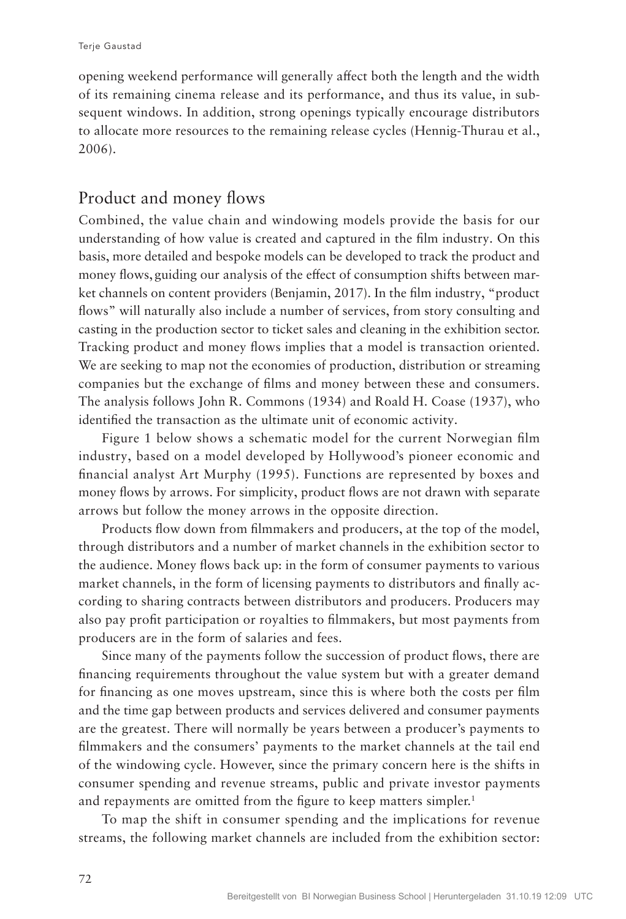opening weekend performance will generally affect both the length and the width of its remaining cinema release and its performance, and thus its value, in subsequent windows. In addition, strong openings typically encourage distributors to allocate more resources to the remaining release cycles (Hennig-Thurau et al., 2006).

# Product and money flows

Combined, the value chain and windowing models provide the basis for our understanding of how value is created and captured in the film industry. On this basis, more detailed and bespoke models can be developed to track the product and money flows, guiding our analysis of the effect of consumption shifts between market channels on content providers (Benjamin, 2017). In the film industry, "product flows" will naturally also include a number of services, from story consulting and casting in the production sector to ticket sales and cleaning in the exhibition sector. Tracking product and money flows implies that a model is transaction oriented. We are seeking to map not the economies of production, distribution or streaming companies but the exchange of films and money between these and consumers. The analysis follows John R. Commons (1934) and Roald H. Coase (1937), who identified the transaction as the ultimate unit of economic activity.

Figure 1 below shows a schematic model for the current Norwegian film industry, based on a model developed by Hollywood's pioneer economic and financial analyst Art Murphy (1995). Functions are represented by boxes and money flows by arrows. For simplicity, product flows are not drawn with separate arrows but follow the money arrows in the opposite direction.

Products flow down from filmmakers and producers, at the top of the model, through distributors and a number of market channels in the exhibition sector to the audience. Money flows back up: in the form of consumer payments to various market channels, in the form of licensing payments to distributors and finally according to sharing contracts between distributors and producers. Producers may also pay profit participation or royalties to filmmakers, but most payments from producers are in the form of salaries and fees.

Since many of the payments follow the succession of product flows, there are financing requirements throughout the value system but with a greater demand for financing as one moves upstream, since this is where both the costs per film and the time gap between products and services delivered and consumer payments are the greatest. There will normally be years between a producer's payments to filmmakers and the consumers' payments to the market channels at the tail end of the windowing cycle. However, since the primary concern here is the shifts in consumer spending and revenue streams, public and private investor payments and repayments are omitted from the figure to keep matters simpler.<sup>1</sup>

To map the shift in consumer spending and the implications for revenue streams, the following market channels are included from the exhibition sector: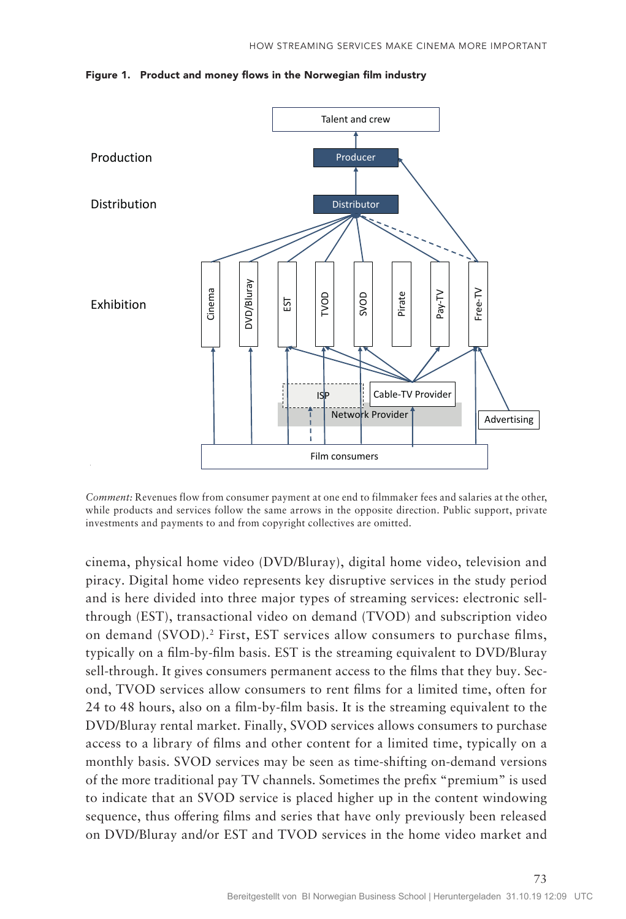

Figure 1. Product and money flows in the Norwegian film industry

*Comment:* Revenues flow from consumer payment at one end to filmmaker fees and salaries at the other, while products and services follow the same arrows in the opposite direction. Public support, private investments and payments to and from copyright collectives are omitted.

cinema, physical home video (DVD/Bluray), digital home video, television and piracy. Digital home video represents key disruptive services in the study period and is here divided into three major types of streaming services: electronic sellthrough (EST), transactional video on demand (TVOD) and subscription video on demand (SVOD).2 First, EST services allow consumers to purchase films, typically on a film-by-film basis. EST is the streaming equivalent to DVD/Bluray sell-through. It gives consumers permanent access to the films that they buy. Second, TVOD services allow consumers to rent films for a limited time, often for 24 to 48 hours, also on a film-by-film basis. It is the streaming equivalent to the DVD/Bluray rental market. Finally, SVOD services allows consumers to purchase access to a library of films and other content for a limited time, typically on a monthly basis. SVOD services may be seen as time-shifting on-demand versions of the more traditional pay TV channels. Sometimes the prefix "premium" is used to indicate that an SVOD service is placed higher up in the content windowing sequence, thus offering films and series that have only previously been released on DVD/Bluray and/or EST and TVOD services in the home video market and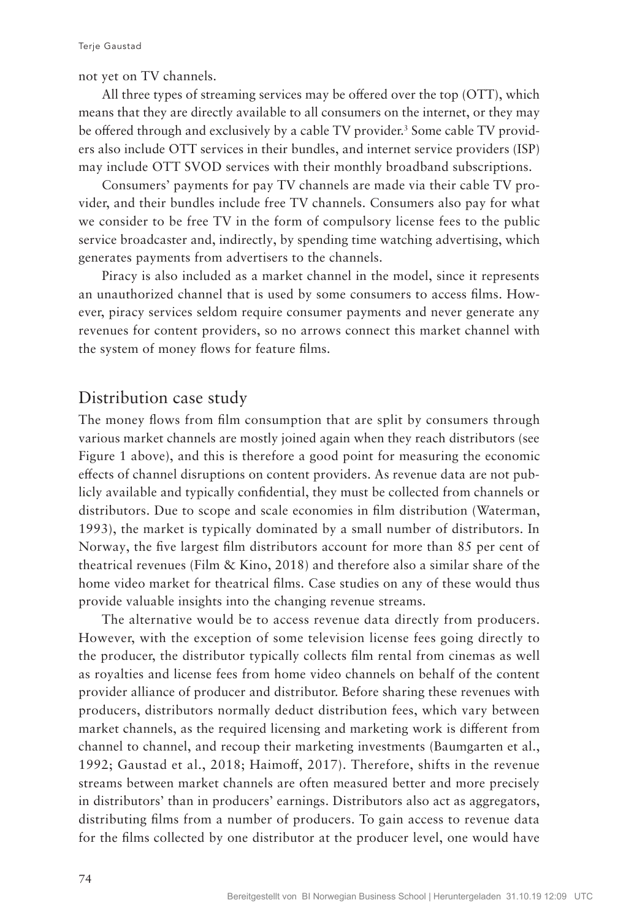not yet on TV channels.

All three types of streaming services may be offered over the top (OTT), which means that they are directly available to all consumers on the internet, or they may be offered through and exclusively by a cable TV provider.<sup>3</sup> Some cable TV providers also include OTT services in their bundles, and internet service providers (ISP) may include OTT SVOD services with their monthly broadband subscriptions.

Consumers' payments for pay TV channels are made via their cable TV provider, and their bundles include free TV channels. Consumers also pay for what we consider to be free TV in the form of compulsory license fees to the public service broadcaster and, indirectly, by spending time watching advertising, which generates payments from advertisers to the channels.

Piracy is also included as a market channel in the model, since it represents an unauthorized channel that is used by some consumers to access films. However, piracy services seldom require consumer payments and never generate any revenues for content providers, so no arrows connect this market channel with the system of money flows for feature films.

## Distribution case study

The money flows from film consumption that are split by consumers through various market channels are mostly joined again when they reach distributors (see Figure 1 above), and this is therefore a good point for measuring the economic effects of channel disruptions on content providers. As revenue data are not publicly available and typically confidential, they must be collected from channels or distributors. Due to scope and scale economies in film distribution (Waterman, 1993), the market is typically dominated by a small number of distributors. In Norway, the five largest film distributors account for more than 85 per cent of theatrical revenues (Film  $\&$  Kino, 2018) and therefore also a similar share of the home video market for theatrical films. Case studies on any of these would thus provide valuable insights into the changing revenue streams.

The alternative would be to access revenue data directly from producers. However, with the exception of some television license fees going directly to the producer, the distributor typically collects film rental from cinemas as well as royalties and license fees from home video channels on behalf of the content provider alliance of producer and distributor. Before sharing these revenues with producers, distributors normally deduct distribution fees, which vary between market channels, as the required licensing and marketing work is different from channel to channel, and recoup their marketing investments (Baumgarten et al., 1992; Gaustad et al., 2018; Haimoff, 2017). Therefore, shifts in the revenue streams between market channels are often measured better and more precisely in distributors' than in producers' earnings. Distributors also act as aggregators, distributing films from a number of producers. To gain access to revenue data for the films collected by one distributor at the producer level, one would have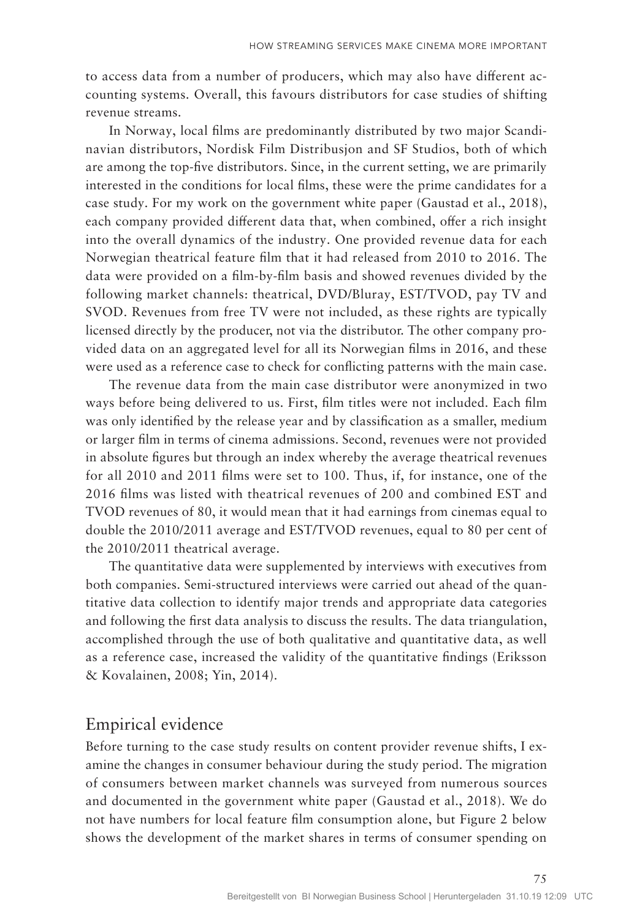to access data from a number of producers, which may also have different accounting systems. Overall, this favours distributors for case studies of shifting revenue streams.

In Norway, local films are predominantly distributed by two major Scandinavian distributors, Nordisk Film Distribusjon and SF Studios, both of which are among the top-five distributors. Since, in the current setting, we are primarily interested in the conditions for local films, these were the prime candidates for a case study. For my work on the government white paper (Gaustad et al., 2018), each company provided different data that, when combined, offer a rich insight into the overall dynamics of the industry. One provided revenue data for each Norwegian theatrical feature film that it had released from 2010 to 2016. The data were provided on a film-by-film basis and showed revenues divided by the following market channels: theatrical, DVD/Bluray, EST/TVOD, pay TV and SVOD. Revenues from free TV were not included, as these rights are typically licensed directly by the producer, not via the distributor. The other company provided data on an aggregated level for all its Norwegian films in 2016, and these were used as a reference case to check for conflicting patterns with the main case.

The revenue data from the main case distributor were anonymized in two ways before being delivered to us. First, film titles were not included. Each film was only identified by the release year and by classification as a smaller, medium or larger film in terms of cinema admissions. Second, revenues were not provided in absolute figures but through an index whereby the average theatrical revenues for all 2010 and 2011 films were set to 100. Thus, if, for instance, one of the 2016 films was listed with theatrical revenues of 200 and combined EST and TVOD revenues of 80, it would mean that it had earnings from cinemas equal to double the 2010/2011 average and EST/TVOD revenues, equal to 80 per cent of the 2010/2011 theatrical average.

The quantitative data were supplemented by interviews with executives from both companies. Semi-structured interviews were carried out ahead of the quantitative data collection to identify major trends and appropriate data categories and following the first data analysis to discuss the results. The data triangulation, accomplished through the use of both qualitative and quantitative data, as well as a reference case, increased the validity of the quantitative findings (Eriksson & Kovalainen, 2008; Yin, 2014).

#### Empirical evidence

Before turning to the case study results on content provider revenue shifts, I examine the changes in consumer behaviour during the study period. The migration of consumers between market channels was surveyed from numerous sources and documented in the government white paper (Gaustad et al., 2018). We do not have numbers for local feature film consumption alone, but Figure 2 below shows the development of the market shares in terms of consumer spending on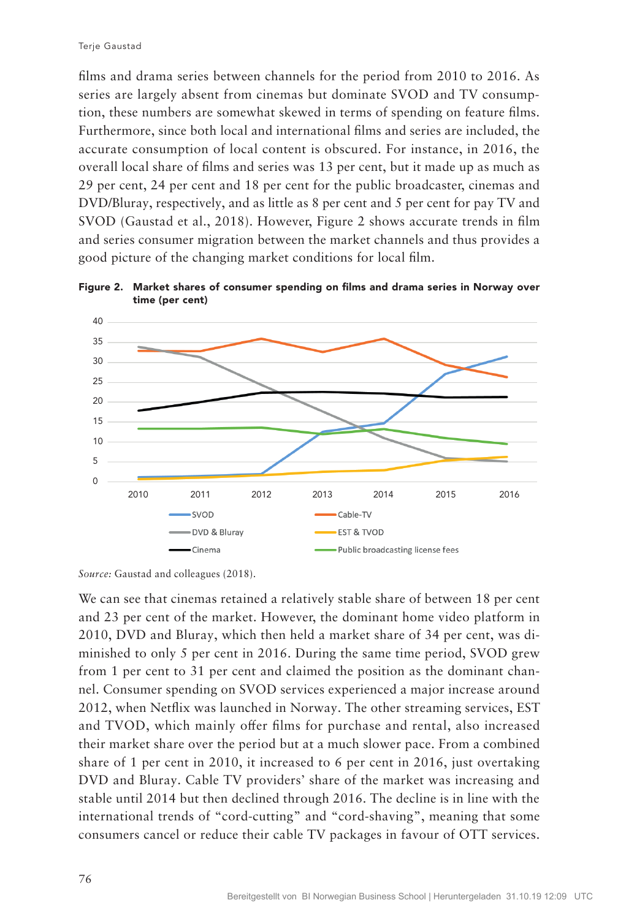films and drama series between channels for the period from 2010 to 2016. As series are largely absent from cinemas but dominate SVOD and TV consumption, these numbers are somewhat skewed in terms of spending on feature films. Furthermore, since both local and international films and series are included, the accurate consumption of local content is obscured. For instance, in 2016, the overall local share of films and series was 13 per cent, but it made up as much as 29 per cent, 24 per cent and 18 per cent for the public broadcaster, cinemas and DVD/Bluray, respectively, and as little as 8 per cent and 5 per cent for pay TV and SVOD (Gaustad et al., 2018). However, Figure 2 shows accurate trends in film and series consumer migration between the market channels and thus provides a good picture of the changing market conditions for local film.



Figure 2. Market shares of consumer spending on films and drama series in Norway over time (per cent)

We can see that cinemas retained a relatively stable share of between 18 per cent and 23 per cent of the market. However, the dominant home video platform in 2010, DVD and Bluray, which then held a market share of 34 per cent, was diminished to only 5 per cent in 2016. During the same time period, SVOD grew from 1 per cent to 31 per cent and claimed the position as the dominant channel. Consumer spending on SVOD services experienced a major increase around 2012, when Netflix was launched in Norway. The other streaming services, EST and TVOD, which mainly offer films for purchase and rental, also increased their market share over the period but at a much slower pace. From a combined share of 1 per cent in 2010, it increased to 6 per cent in 2016, just overtaking DVD and Bluray. Cable TV providers' share of the market was increasing and stable until 2014 but then declined through 2016. The decline is in line with the international trends of "cord-cutting" and "cord-shaving", meaning that some consumers cancel or reduce their cable TV packages in favour of OTT services.

*Source:* Gaustad and colleagues (2018).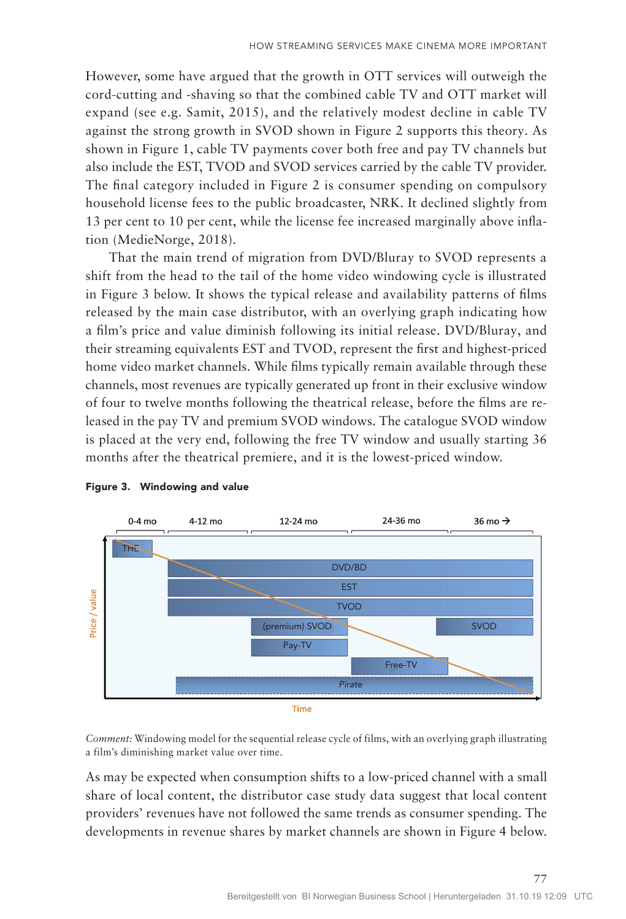However, some have argued that the growth in OTT services will outweigh the cord-cutting and -shaving so that the combined cable TV and OTT market will expand (see e.g. Samit, 2015), and the relatively modest decline in cable TV against the strong growth in SVOD shown in Figure 2 supports this theory. As shown in Figure 1, cable TV payments cover both free and pay TV channels but also include the EST, TVOD and SVOD services carried by the cable TV provider. The final category included in Figure 2 is consumer spending on compulsory household license fees to the public broadcaster, NRK. It declined slightly from 13 per cent to 10 per cent, while the license fee increased marginally above inflation (MedieNorge, 2018).

That the main trend of migration from DVD/Bluray to SVOD represents a shift from the head to the tail of the home video windowing cycle is illustrated in Figure 3 below. It shows the typical release and availability patterns of films released by the main case distributor, with an overlying graph indicating how a film's price and value diminish following its initial release. DVD/Bluray, and their streaming equivalents EST and TVOD, represent the first and highest-priced home video market channels. While films typically remain available through these channels, most revenues are typically generated up front in their exclusive window of four to twelve months following the theatrical release, before the films are released in the pay TV and premium SVOD windows. The catalogue SVOD window is placed at the very end, following the free TV window and usually starting 36 months after the theatrical premiere, and it is the lowest-priced window.





*Comment:* Windowing model for the sequential release cycle of films, with an overlying graph illustrating a film's diminishing market value over time.

As may be expected when consumption shifts to a low-priced channel with a small share of local content, the distributor case study data suggest that local content providers' revenues have not followed the same trends as consumer spending. The developments in revenue shares by market channels are shown in Figure 4 below.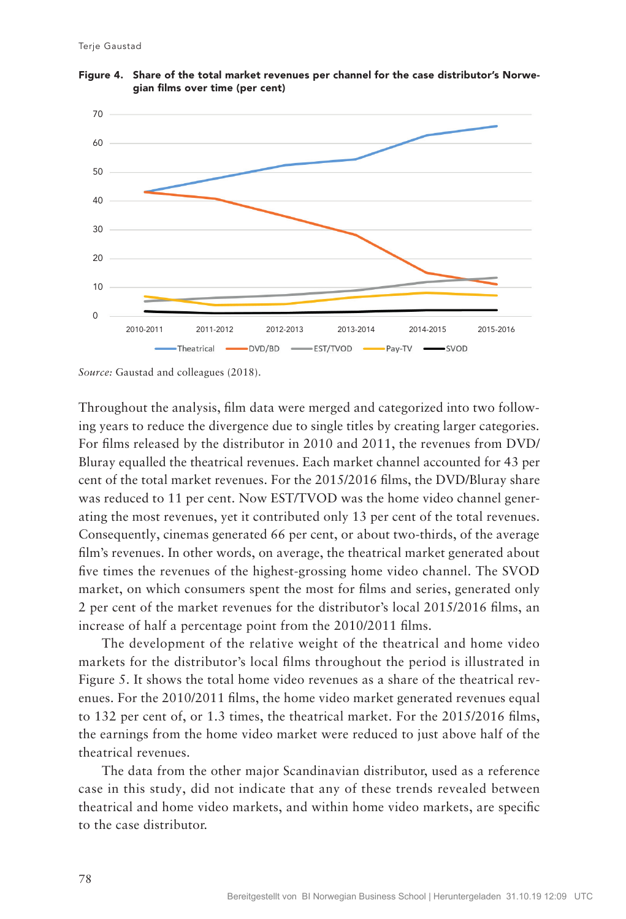

Figure 4. Share of the total market revenues per channel for the case distributor's Norwegian films over time (per cent)

*Source:* Gaustad and colleagues (2018).

Throughout the analysis, film data were merged and categorized into two following years to reduce the divergence due to single titles by creating larger categories. For films released by the distributor in 2010 and 2011, the revenues from DVD/ Bluray equalled the theatrical revenues. Each market channel accounted for 43 per cent of the total market revenues. For the 2015/2016 films, the DVD/Bluray share was reduced to 11 per cent. Now EST/TVOD was the home video channel generating the most revenues, yet it contributed only 13 per cent of the total revenues. Consequently, cinemas generated 66 per cent, or about two-thirds, of the average film's revenues. In other words, on average, the theatrical market generated about five times the revenues of the highest-grossing home video channel. The SVOD market, on which consumers spent the most for films and series, generated only 2 per cent of the market revenues for the distributor's local 2015/2016 films, an increase of half a percentage point from the 2010/2011 films.

The development of the relative weight of the theatrical and home video markets for the distributor's local films throughout the period is illustrated in Figure 5. It shows the total home video revenues as a share of the theatrical revenues. For the 2010/2011 films, the home video market generated revenues equal to 132 per cent of, or 1.3 times, the theatrical market. For the 2015/2016 films, the earnings from the home video market were reduced to just above half of the theatrical revenues.

The data from the other major Scandinavian distributor, used as a reference case in this study, did not indicate that any of these trends revealed between theatrical and home video markets, and within home video markets, are specific to the case distributor.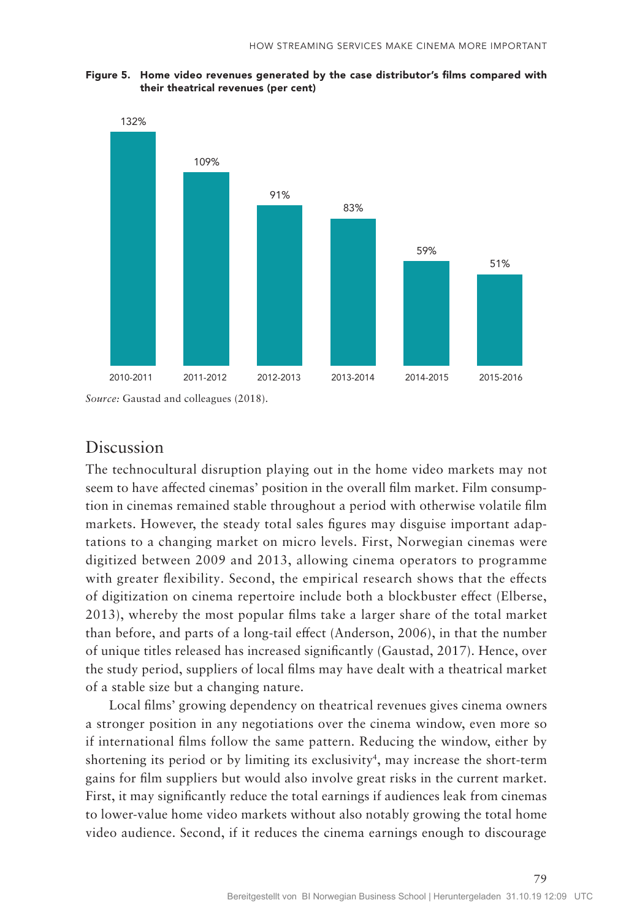Figure 5. Home video revenues generated by the case distributor's films compared with their theatrical revenues (per cent)



*Source:* Gaustad and colleagues (2018).

### Discussion

The technocultural disruption playing out in the home video markets may not seem to have affected cinemas' position in the overall film market. Film consumption in cinemas remained stable throughout a period with otherwise volatile film markets. However, the steady total sales figures may disguise important adaptations to a changing market on micro levels. First, Norwegian cinemas were digitized between 2009 and 2013, allowing cinema operators to programme with greater flexibility. Second, the empirical research shows that the effects of digitization on cinema repertoire include both a blockbuster effect (Elberse, 2013), whereby the most popular films take a larger share of the total market than before, and parts of a long-tail effect (Anderson, 2006), in that the number of unique titles released has increased significantly (Gaustad, 2017). Hence, over the study period, suppliers of local films may have dealt with a theatrical market of a stable size but a changing nature.

Local films' growing dependency on theatrical revenues gives cinema owners a stronger position in any negotiations over the cinema window, even more so if international films follow the same pattern. Reducing the window, either by shortening its period or by limiting its exclusivity<sup>4</sup>, may increase the short-term gains for film suppliers but would also involve great risks in the current market. First, it may significantly reduce the total earnings if audiences leak from cinemas to lower-value home video markets without also notably growing the total home video audience. Second, if it reduces the cinema earnings enough to discourage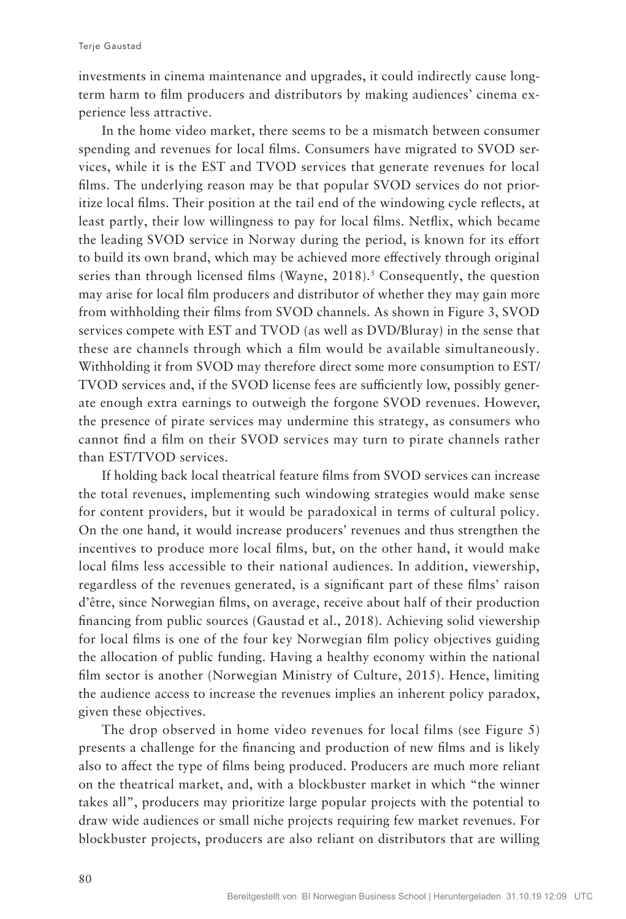investments in cinema maintenance and upgrades, it could indirectly cause longterm harm to film producers and distributors by making audiences' cinema experience less attractive.

In the home video market, there seems to be a mismatch between consumer spending and revenues for local films. Consumers have migrated to SVOD services, while it is the EST and TVOD services that generate revenues for local films. The underlying reason may be that popular SVOD services do not prioritize local films. Their position at the tail end of the windowing cycle reflects, at least partly, their low willingness to pay for local films. Netflix, which became the leading SVOD service in Norway during the period, is known for its effort to build its own brand, which may be achieved more effectively through original series than through licensed films (Wayne, 2018).<sup>5</sup> Consequently, the question may arise for local film producers and distributor of whether they may gain more from withholding their films from SVOD channels. As shown in Figure 3, SVOD services compete with EST and TVOD (as well as DVD/Bluray) in the sense that these are channels through which a film would be available simultaneously. Withholding it from SVOD may therefore direct some more consumption to EST/ TVOD services and, if the SVOD license fees are sufficiently low, possibly generate enough extra earnings to outweigh the forgone SVOD revenues. However, the presence of pirate services may undermine this strategy, as consumers who cannot find a film on their SVOD services may turn to pirate channels rather than EST/TVOD services.

If holding back local theatrical feature films from SVOD services can increase the total revenues, implementing such windowing strategies would make sense for content providers, but it would be paradoxical in terms of cultural policy. On the one hand, it would increase producers' revenues and thus strengthen the incentives to produce more local films, but, on the other hand, it would make local films less accessible to their national audiences. In addition, viewership, regardless of the revenues generated, is a significant part of these films' raison d'être, since Norwegian films, on average, receive about half of their production financing from public sources (Gaustad et al., 2018). Achieving solid viewership for local films is one of the four key Norwegian film policy objectives guiding the allocation of public funding. Having a healthy economy within the national film sector is another (Norwegian Ministry of Culture, 2015). Hence, limiting the audience access to increase the revenues implies an inherent policy paradox, given these objectives.

The drop observed in home video revenues for local films (see Figure 5) presents a challenge for the financing and production of new films and is likely also to affect the type of films being produced. Producers are much more reliant on the theatrical market, and, with a blockbuster market in which "the winner takes all", producers may prioritize large popular projects with the potential to draw wide audiences or small niche projects requiring few market revenues. For blockbuster projects, producers are also reliant on distributors that are willing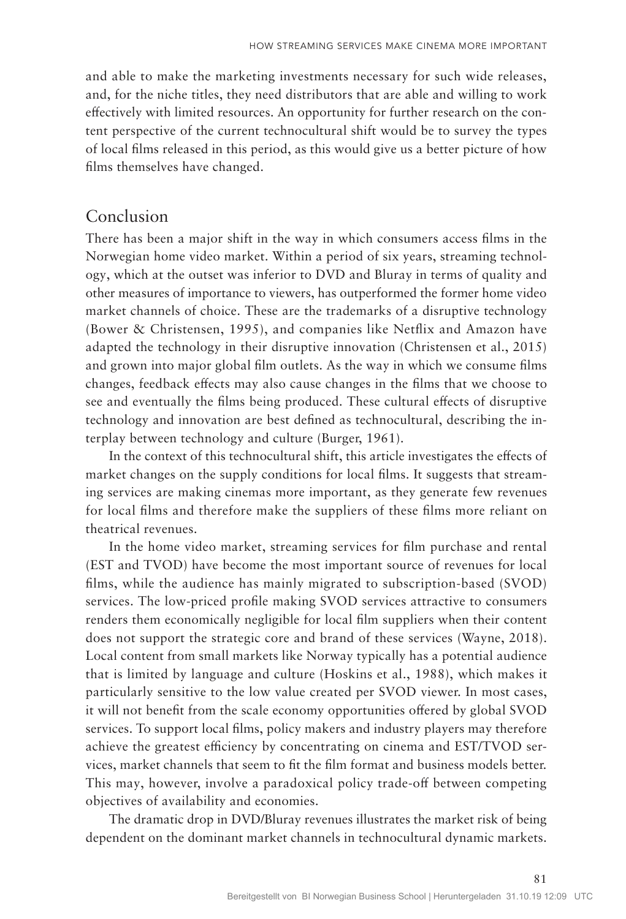and able to make the marketing investments necessary for such wide releases, and, for the niche titles, they need distributors that are able and willing to work effectively with limited resources. An opportunity for further research on the content perspective of the current technocultural shift would be to survey the types of local films released in this period, as this would give us a better picture of how films themselves have changed.

## Conclusion

There has been a major shift in the way in which consumers access films in the Norwegian home video market. Within a period of six years, streaming technology, which at the outset was inferior to DVD and Bluray in terms of quality and other measures of importance to viewers, has outperformed the former home video market channels of choice. These are the trademarks of a disruptive technology (Bower & Christensen, 1995), and companies like Netflix and Amazon have adapted the technology in their disruptive innovation (Christensen et al., 2015) and grown into major global film outlets. As the way in which we consume films changes, feedback effects may also cause changes in the films that we choose to see and eventually the films being produced. These cultural effects of disruptive technology and innovation are best defined as technocultural, describing the interplay between technology and culture (Burger, 1961).

In the context of this technocultural shift, this article investigates the effects of market changes on the supply conditions for local films. It suggests that streaming services are making cinemas more important, as they generate few revenues for local films and therefore make the suppliers of these films more reliant on theatrical revenues.

In the home video market, streaming services for film purchase and rental (EST and TVOD) have become the most important source of revenues for local films, while the audience has mainly migrated to subscription-based (SVOD) services. The low-priced profile making SVOD services attractive to consumers renders them economically negligible for local film suppliers when their content does not support the strategic core and brand of these services (Wayne, 2018). Local content from small markets like Norway typically has a potential audience that is limited by language and culture (Hoskins et al., 1988), which makes it particularly sensitive to the low value created per SVOD viewer. In most cases, it will not benefit from the scale economy opportunities offered by global SVOD services. To support local films, policy makers and industry players may therefore achieve the greatest efficiency by concentrating on cinema and EST/TVOD services, market channels that seem to fit the film format and business models better. This may, however, involve a paradoxical policy trade-off between competing objectives of availability and economies.

The dramatic drop in DVD/Bluray revenues illustrates the market risk of being dependent on the dominant market channels in technocultural dynamic markets.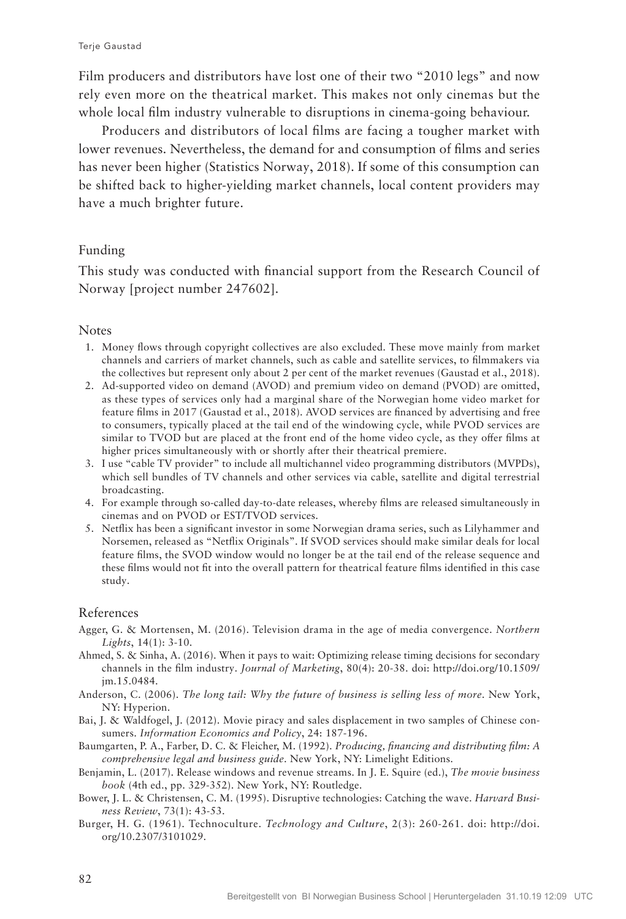Film producers and distributors have lost one of their two "2010 legs" and now rely even more on the theatrical market. This makes not only cinemas but the whole local film industry vulnerable to disruptions in cinema-going behaviour.

Producers and distributors of local films are facing a tougher market with lower revenues. Nevertheless, the demand for and consumption of films and series has never been higher (Statistics Norway, 2018). If some of this consumption can be shifted back to higher-yielding market channels, local content providers may have a much brighter future.

#### Funding

This study was conducted with financial support from the Research Council of Norway [project number 247602].

#### Notes

- 1. Money flows through copyright collectives are also excluded. These move mainly from market channels and carriers of market channels, such as cable and satellite services, to filmmakers via the collectives but represent only about 2 per cent of the market revenues (Gaustad et al., 2018).
- 2. Ad-supported video on demand (AVOD) and premium video on demand (PVOD) are omitted, as these types of services only had a marginal share of the Norwegian home video market for feature films in 2017 (Gaustad et al., 2018). AVOD services are financed by advertising and free to consumers, typically placed at the tail end of the windowing cycle, while PVOD services are similar to TVOD but are placed at the front end of the home video cycle, as they offer films at higher prices simultaneously with or shortly after their theatrical premiere.
- 3. I use "cable TV provider" to include all multichannel video programming distributors (MVPDs), which sell bundles of TV channels and other services via cable, satellite and digital terrestrial broadcasting.
- 4. For example through so-called day-to-date releases, whereby films are released simultaneously in cinemas and on PVOD or EST/TVOD services.
- 5. Netflix has been a significant investor in some Norwegian drama series, such as Lilyhammer and Norsemen, released as "Netflix Originals". If SVOD services should make similar deals for local feature films, the SVOD window would no longer be at the tail end of the release sequence and these films would not fit into the overall pattern for theatrical feature films identified in this case study.

#### References

- Agger, G. & Mortensen, M. (2016). Television drama in the age of media convergence. *Northern Lights*, 14(1): 3-10.
- Ahmed, S. & Sinha, A. (2016). When it pays to wait: Optimizing release timing decisions for secondary channels in the film industry. *Journal of Marketing*, 80(4): 20-38. doi: http://doi.org/10.1509/ jm.15.0484.
- Anderson, C. (2006). *The long tail: Why the future of business is selling less of more*. New York, NY: Hyperion.
- Bai, J. & Waldfogel, J. (2012). Movie piracy and sales displacement in two samples of Chinese consumers. *Information Economics and Policy*, 24: 187-196.
- Baumgarten, P. A., Farber, D. C. & Fleicher, M. (1992). *Producing, financing and distributing film: A comprehensive legal and business guide*. New York, NY: Limelight Editions.
- Benjamin, L. (2017). Release windows and revenue streams. In J. E. Squire (ed.), *The movie business book* (4th ed., pp. 329-352). New York, NY: Routledge.
- Bower, J. L. & Christensen, C. M. (1995). Disruptive technologies: Catching the wave. *Harvard Business Review*, 73(1): 43-53.
- Burger, H. G. (1961). Technoculture. *Technology and Culture*, 2(3): 260-261. doi: http://doi. org/10.2307/3101029.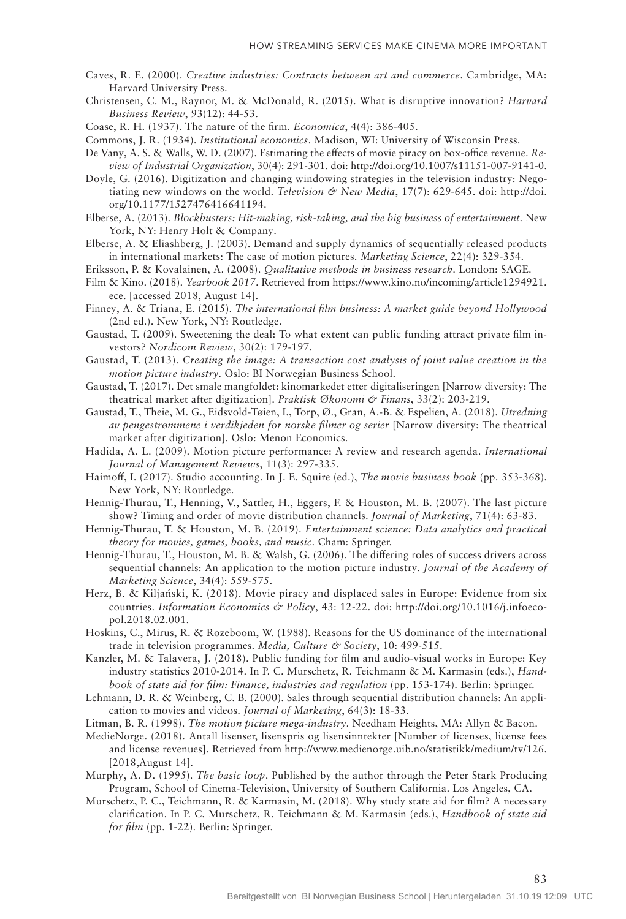- Caves, R. E. (2000). *Creative industries: Contracts between art and commerce*. Cambridge, MA: Harvard University Press.
- Christensen, C. M., Raynor, M. & McDonald, R. (2015). What is disruptive innovation? *Harvard Business Review*, 93(12): 44-53.
- Coase, R. H. (1937). The nature of the firm. *Economica*, 4(4): 386-405.
- Commons, J. R. (1934). *Institutional economics*. Madison, WI: University of Wisconsin Press.
- De Vany, A. S. & Walls, W. D. (2007). Estimating the effects of movie piracy on box-office revenue. *Review of Industrial Organization*, 30(4): 291-301. doi: http://doi.org/10.1007/s11151-007-9141-0.
- Doyle, G. (2016). Digitization and changing windowing strategies in the television industry: Negotiating new windows on the world. *Television & New Media*, 17(7): 629-645. doi: http://doi. org/10.1177/1527476416641194.
- Elberse, A. (2013). *Blockbusters: Hit-making, risk-taking, and the big business of entertainment*. New York, NY: Henry Holt & Company.
- Elberse, A. & Eliashberg, J. (2003). Demand and supply dynamics of sequentially released products in international markets: The case of motion pictures. *Marketing Science*, 22(4): 329-354.
- Eriksson, P. & Kovalainen, A. (2008). *Qualitative methods in business research*. London: SAGE.
- Film & Kino. (2018). *Yearbook 2017*. Retrieved from https://www.kino.no/incoming/article1294921. ece. [accessed 2018, August 14].
- Finney, A. & Triana, E. (2015). *The international film business: A market guide beyond Hollywood* (2nd ed.). New York, NY: Routledge.
- Gaustad, T. (2009). Sweetening the deal: To what extent can public funding attract private film investors? *Nordicom Review*, 30(2): 179-197.
- Gaustad, T. (2013). *Creating the image: A transaction cost analysis of joint value creation in the motion picture industry*. Oslo: BI Norwegian Business School.
- Gaustad, T. (2017). Det smale mangfoldet: kinomarkedet etter digitaliseringen [Narrow diversity: The theatrical market after digitization]. *Praktisk Økonomi & Finans*, 33(2): 203-219.
- Gaustad, T., Theie, M. G., Eidsvold-Tøien, I., Torp, Ø., Gran, A.-B. & Espelien, A. (2018). *Utredning av pengestrømmene i verdikjeden for norske filmer og serier* [Narrow diversity: The theatrical market after digitization]. Oslo: Menon Economics.
- Hadida, A. L. (2009). Motion picture performance: A review and research agenda. *International Journal of Management Reviews*, 11(3): 297-335.
- Haimoff, I. (2017). Studio accounting. In J. E. Squire (ed.), *The movie business book* (pp. 353-368). New York, NY: Routledge.
- Hennig-Thurau, T., Henning, V., Sattler, H., Eggers, F. & Houston, M. B. (2007). The last picture show? Timing and order of movie distribution channels. *Journal of Marketing*, 71(4): 63-83.
- Hennig-Thurau, T. & Houston, M. B. (2019). *Entertainment science: Data analytics and practical theory for movies, games, books, and music*. Cham: Springer.
- Hennig-Thurau, T., Houston, M. B. & Walsh, G. (2006). The differing roles of success drivers across sequential channels: An application to the motion picture industry. *Journal of the Academy of Marketing Science*, 34(4): 559-575.
- Herz, B. & Kiljański, K. (2018). Movie piracy and displaced sales in Europe: Evidence from six countries. *Information Economics & Policy*, 43: 12-22. doi: http://doi.org/10.1016/j.infoecopol.2018.02.001.
- Hoskins, C., Mirus, R. & Rozeboom, W. (1988). Reasons for the US dominance of the international trade in television programmes. *Media*, Culture & Society, 10: 499-515.
- Kanzler, M. & Talavera, J. (2018). Public funding for film and audio-visual works in Europe: Key industry statistics 2010-2014. In P. C. Murschetz, R. Teichmann & M. Karmasin (eds.), *Handbook of state aid for film: Finance, industries and regulation* (pp. 153-174). Berlin: Springer.
- Lehmann, D. R. & Weinberg, C. B. (2000). Sales through sequential distribution channels: An application to movies and videos. *Journal of Marketing*, 64(3): 18-33.
- Litman, B. R. (1998). *The motion picture mega-industry*. Needham Heights, MA: Allyn & Bacon.
- MedieNorge. (2018). Antall lisenser, lisenspris og lisensinntekter [Number of licenses, license fees and license revenues]. Retrieved from http://www.medienorge.uib.no/statistikk/medium/tv/126. [2018,August 14].
- Murphy, A. D. (1995). *The basic loop*. Published by the author through the Peter Stark Producing Program, School of Cinema-Television, University of Southern California. Los Angeles, CA.
- Murschetz, P. C., Teichmann, R. & Karmasin, M. (2018). Why study state aid for film? A necessary clarification. In P. C. Murschetz, R. Teichmann & M. Karmasin (eds.), *Handbook of state aid for film* (pp. 1-22). Berlin: Springer.